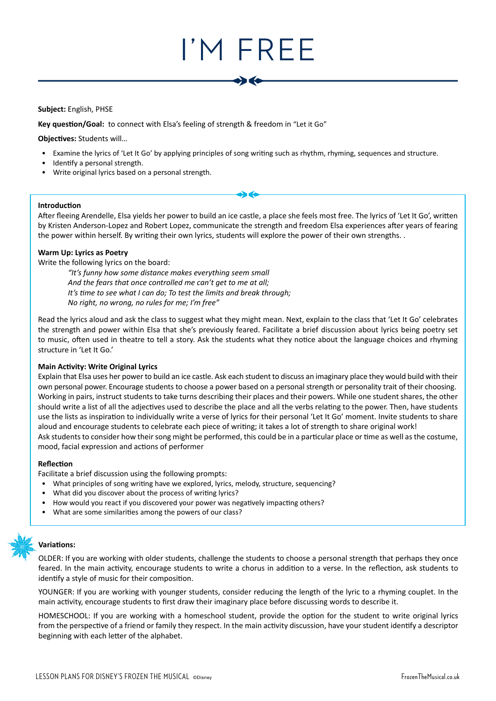# **Subject:** English, PHSE

**Key question/Goal:** to connect with Elsa's feeling of strength & freedom in "Let it Go"

**Objectives:** Students will…

• Examine the lyrics of 'Let It Go' by applying principles of song writing such as rhythm, rhyming, sequences and structure.

I'M FREE

- Identify a personal strength.
- Write original lyrics based on a personal strength.

## **Introduction**

After fleeing Arendelle, Elsa yields her power to build an ice castle, a place she feels most free. The lyrics of 'Let It Go', written by Kristen Anderson-Lopez and Robert Lopez, communicate the strength and freedom Elsa experiences after years of fearing the power within herself. By writing their own lyrics, students will explore the power of their own strengths. .

## **Warm Up: Lyrics as Poetry**

Write the following lyrics on the board:

*"It's funny how some distance makes everything seem small And the fears that once controlled me can't get to me at all; It's time to see what I can do; To test the limits and break through; No right, no wrong, no rules for me; I'm free"* 

Read the lyrics aloud and ask the class to suggest what they might mean. Next, explain to the class that 'Let It Go' celebrates the strength and power within Elsa that she's previously feared. Facilitate a brief discussion about lyrics being poetry set to music, often used in theatre to tell a story. Ask the students what they notice about the language choices and rhyming structure in 'Let It Go.'

## **Main Activity: Write Original Lyrics**

Explain that Elsa uses her power to build an ice castle. Ask each student to discuss an imaginary place they would build with their own personal power. Encourage students to choose a power based on a personal strength or personality trait of their choosing. Working in pairs, instruct students to take turns describing their places and their powers. While one student shares, the other should write a list of all the adjectives used to describe the place and all the verbs relating to the power. Then, have students use the lists as inspiration to individually write a verse of lyrics for their personal 'Let It Go' moment. Invite students to share aloud and encourage students to celebrate each piece of writing; it takes a lot of strength to share original work! Ask students to consider how their song might be performed, this could be in a particular place or time as well as the costume, mood, facial expression and actions of performer

## **Reflection**

Facilitate a brief discussion using the following prompts:

- What principles of song writing have we explored, lyrics, melody, structure, sequencing?
- What did you discover about the process of writing lyrics?
- How would you react if you discovered your power was negatively impacting others?
- What are some similarities among the powers of our class?

## **Variations:**

OLDER: If you are working with older students, challenge the students to choose a personal strength that perhaps they once feared. In the main activity, encourage students to write a chorus in addition to a verse. In the reflection, ask students to identify a style of music for their composition.

YOUNGER: If you are working with younger students, consider reducing the length of the lyric to a rhyming couplet. In the main activity, encourage students to first draw their imaginary place before discussing words to describe it.

HOMESCHOOL: If you are working with a homeschool student, provide the option for the student to write original lyrics from the perspective of a friend or family they respect. In the main activity discussion, have your student identify a descriptor beginning with each letter of the alphabet.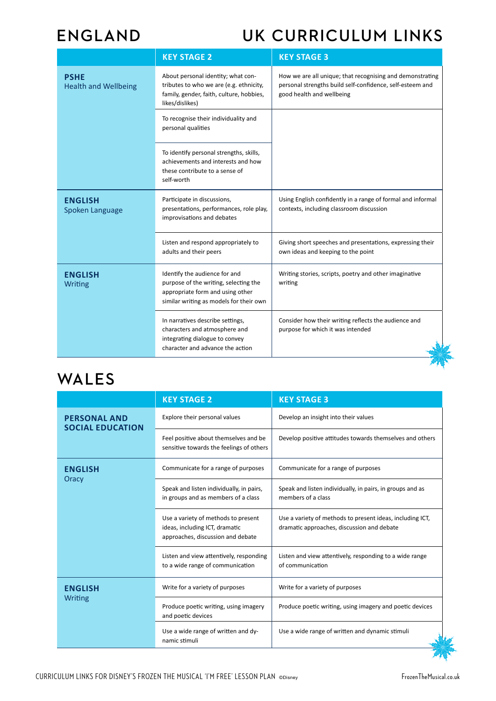# **ENGLAND UK CURRICULUM LINKS**

|                                            | <b>KEY STAGE 2</b>                                                                                                                                    | <b>KEY STAGE 3</b>                                                                                                                                  |
|--------------------------------------------|-------------------------------------------------------------------------------------------------------------------------------------------------------|-----------------------------------------------------------------------------------------------------------------------------------------------------|
| <b>PSHE</b><br><b>Health and Wellbeing</b> | About personal identity; what con-<br>tributes to who we are (e.g. ethnicity,<br>family, gender, faith, culture, hobbies,<br>likes/dislikes)          | How we are all unique; that recognising and demonstrating<br>personal strengths build self-confidence, self-esteem and<br>good health and wellbeing |
|                                            | To recognise their individuality and<br>personal qualities                                                                                            |                                                                                                                                                     |
|                                            | To identify personal strengths, skills,<br>achievements and interests and how<br>these contribute to a sense of<br>self-worth                         |                                                                                                                                                     |
| <b>ENGLISH</b><br>Spoken Language          | Participate in discussions,<br>presentations, performances, role play,<br>improvisations and debates                                                  | Using English confidently in a range of formal and informal<br>contexts, including classroom discussion                                             |
|                                            | Listen and respond appropriately to<br>adults and their peers                                                                                         | Giving short speeches and presentations, expressing their<br>own ideas and keeping to the point                                                     |
| <b>ENGLISH</b><br><b>Writing</b>           | Identify the audience for and<br>purpose of the writing, selecting the<br>appropriate form and using other<br>similar writing as models for their own | Writing stories, scripts, poetry and other imaginative<br>writing                                                                                   |
|                                            | In narratives describe settings,<br>characters and atmosphere and<br>integrating dialogue to convey<br>character and advance the action               | Consider how their writing reflects the audience and<br>purpose for which it was intended                                                           |

## **WALES**

|                                                | <b>KEY STAGE 2</b>                                                                                         | <b>KEY STAGE 3</b>                                                                                      |  |
|------------------------------------------------|------------------------------------------------------------------------------------------------------------|---------------------------------------------------------------------------------------------------------|--|
| <b>PERSONAL AND</b><br><b>SOCIAL EDUCATION</b> | Explore their personal values                                                                              | Develop an insight into their values                                                                    |  |
|                                                | Feel positive about themselves and be<br>sensitive towards the feelings of others                          | Develop positive attitudes towards themselves and others                                                |  |
| <b>ENGLISH</b><br>Oracy                        | Communicate for a range of purposes                                                                        | Communicate for a range of purposes                                                                     |  |
|                                                | Speak and listen individually, in pairs,<br>in groups and as members of a class                            | Speak and listen individually, in pairs, in groups and as<br>members of a class                         |  |
|                                                | Use a variety of methods to present<br>ideas, including ICT, dramatic<br>approaches, discussion and debate | Use a variety of methods to present ideas, including ICT,<br>dramatic approaches, discussion and debate |  |
|                                                | Listen and view attentively, responding<br>to a wide range of communication                                | Listen and view attentively, responding to a wide range<br>of communication                             |  |
| <b>ENGLISH</b><br>Writing                      | Write for a variety of purposes                                                                            | Write for a variety of purposes                                                                         |  |
|                                                | Produce poetic writing, using imagery<br>and poetic devices                                                | Produce poetic writing, using imagery and poetic devices                                                |  |
|                                                | Use a wide range of written and dy-<br>namic stimuli                                                       | Use a wide range of written and dynamic stimuli                                                         |  |